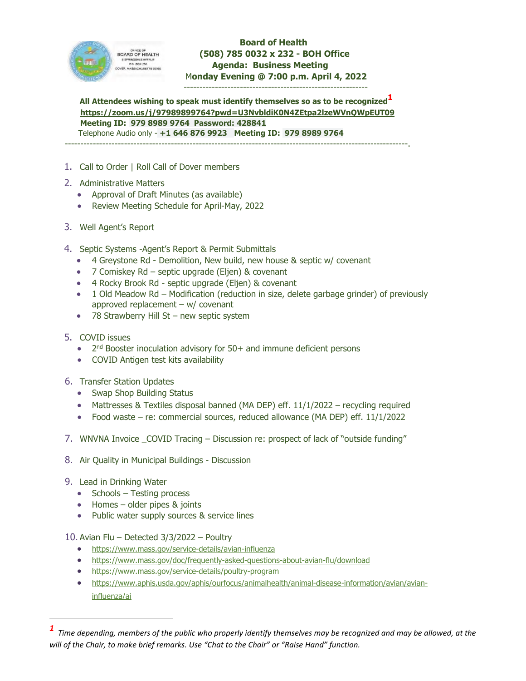

 **Board of Health (508) 785 0032 x 232 - BOH Office Agenda: Business Meeting**  M**onday Evening @ 7:00 p.m. April 4, 2022** 

-----------------------------------------------------------

All Attendees wishing to speak must identify themselves so as to be recognized<sup>1</sup> **<https://zoom.us/j/97989899764?pwd=U3NvbldiK0N4ZEtpa2lzeWVnQWpEUT09> Meeting ID: 979 8989 9764 Password: 428841** Telephone Audio only - **+1 646 876 9923 Meeting ID: 979 8989 9764**

--------------------------------------------------------------------------------------------------------------.

- 1. Call to Order | Roll Call of Dover members
- 2. Administrative Matters
	- Approval of Draft Minutes (as available)
	- Review Meeting Schedule for April-May, 2022
- 3. Well Agent's Report
- 4. Septic Systems -Agent's Report & Permit Submittals
	- 4 Greystone Rd Demolition, New build, new house & septic w/ covenant
	- 7 Comiskey Rd septic upgrade (Eljen) & covenant
	- 4 Rocky Brook Rd septic upgrade (Eljen) & covenant
	- 1 Old Meadow Rd Modification (reduction in size, delete garbage grinder) of previously approved replacement  $- w/c$  covenant
	- 78 Strawberry Hill St new septic system
- 5. COVID issues
	- 2<sup>nd</sup> Booster inoculation advisory for 50+ and immune deficient persons
	- COVID Antigen test kits availability
- 6. Transfer Station Updates
	- Swap Shop Building Status
	- Mattresses & Textiles disposal banned (MA DEP) eff. 11/1/2022 recycling required
	- Food waste re: commercial sources, reduced allowance (MA DEP) eff. 11/1/2022
- 7. WNVNA Invoice \_COVID Tracing Discussion re: prospect of lack of "outside funding"
- 8. Air Quality in Municipal Buildings Discussion
- 9. Lead in Drinking Water
	- $\bullet$  Schools Testing process
	- Homes older pipes & joints
	- Public water supply sources & service lines

10. Avian Flu – Detected 3/3/2022 – Poultry

- <https://www.mass.gov/service-details/avian-influenza>
- <https://www.mass.gov/doc/frequently-asked-questions-about-avian-flu/download>
- <https://www.mass.gov/service-details/poultry-program>
- [https://www.aphis.usda.gov/aphis/ourfocus/animalhealth/animal-disease-information/avian/avian](https://www.aphis.usda.gov/aphis/ourfocus/animalhealth/animal-disease-information/avian/avian-influenza/ai)[influenza/ai](https://www.aphis.usda.gov/aphis/ourfocus/animalhealth/animal-disease-information/avian/avian-influenza/ai)

<span id="page-0-0"></span>*<sup>1</sup> Time depending, members of the public who properly identify themselves may be recognized and may be allowed, at the will of the Chair, to make brief remarks. Use "Chat to the Chair" or "Raise Hand" function.*